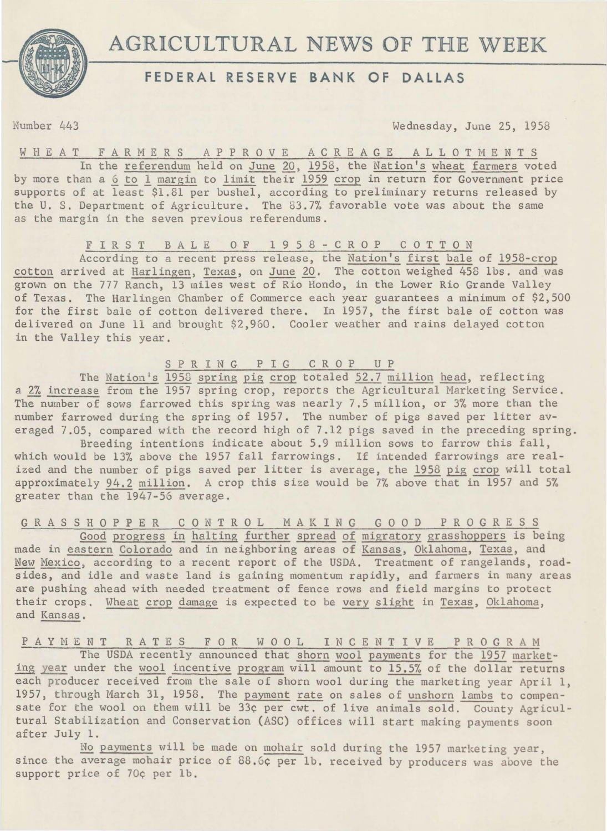



# **FEDERAL RESERVE BANK OF DALLAS**

Number 443 Wednesday, June 25, 1958

# W HE A T FARMERS A P P R O V E A C R E A G E A L L O T M E N T S

In the referendum held on June 20, 1958, the Nation's wheat farmers voted by more than a 6 to 1 margin to limit their 1959 crop in return for Government price supports of at least \$1.81 per bushel, according to preliminary returns released by the U. S. Department of Agriculture. The 83.7% favorable vote was about the same as the margin in the seven previous referendums.

## FIRST BALE OF 1958-CROP COTTON

According to a recent press release, the Nation's first bale of 1958-crop cotton arrived at Harlingen, Texas, on June 20. The cotton weighed 458 lbs. and was grown on the 777 Ranch, 13 miles west of Rio Hondo, in the Lower Rio Grande Valley of Texas. The Harlingen Chamber of Commerce each year guarantees a minimum of \$2,500 for the first bale of cotton delivered there. In 1957, the first bale of cotton was delivered on June 11 and brought \$2,960. Cooler weather and rains delayed cotton in the Valley this year.

SPRING PIG CROP UP

The Nation's 1958 spring pig crop totaled 52.7 million head, reflecting a 2% increase from the 1957 spring crop, reports the Agricultural Marketing Service. The number of sows farrowed this spring was nearly 7.5 million, or 3% more than the number farrowed during the spring of 1957. The number of pigs saved per litter averaged 7.05, compared with the record high of 7.12 pigs saved in the preceding spring.

Breeding intentions indicate about 5.9 million sows to farrow this fall, which would be 13% above the 1957 fall farrowings. If intended farrowings are realized and the number of pigs saved per litter is average, the 1958 pig crop will total approximately 94.2 million. A crop this size would be 7% above that in 1957 and 5% greater than the 1947-56 average.

G R A S S H 0 P P E R C 0 N T R 0 L M A K I N G G 0 0 D P R 0 G R E S S

Good progress in halting further spread of migratory grasshoppers is being made in eastern Colorado and in neighboring areas of Kansas, Oklahoma, Texas, and New Mexico, according to a recent report of the USDA. Treatment of rangelands, roadsides, and idle and waste land is gaining momentum rapidly, and farmers in many areas are pushing ahead with needed treatment of fence rows and field margins to protect their crops. Wheat crop damage is expected to be very slight in Texas, Oklahoma, and Kansas.

PAYMENT RATES FOR WOOL INCENTIVE PROGRAM The USDA recently announced that shorn wool payments for the 1957 marketing year under the wool incentive program will amount to 15.5% of the dollar returns each producer received from the sale of shorn wool during the marketing year April 1, 1957, through March 31, 1958. The payment rate on sales of unshorn lambs to compensate for the wool on them will be 33¢ per cwt. of live animals sold. County Agricultural Stabilization and Conservation (ASC) offices will start making payments soon after July 1.

No payments will be made on mohair sold during the 1957 marketing year , since the average mohair price of 88.6¢ per lb. received by producers was above the support price of 70¢ per lb.